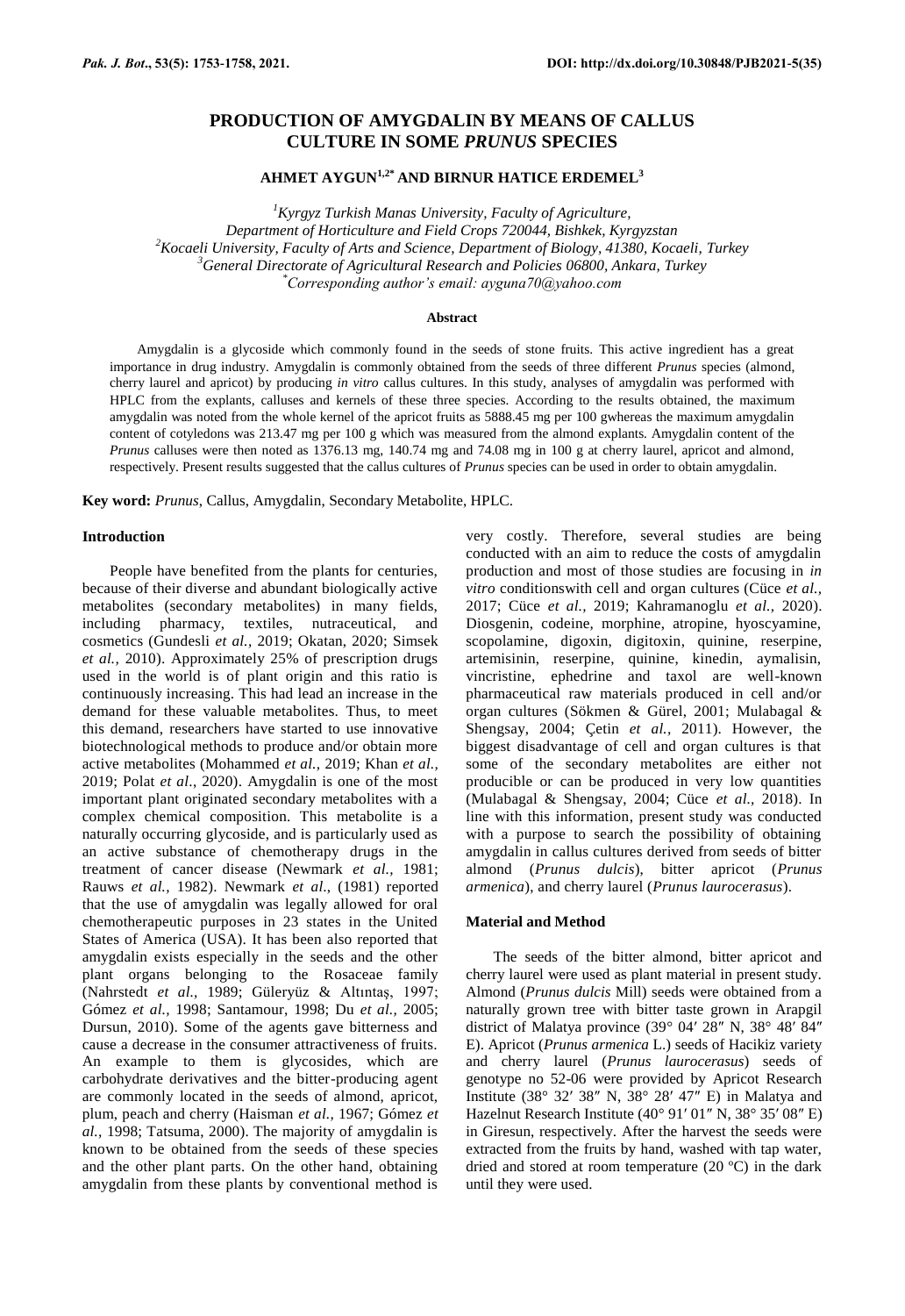# **PRODUCTION OF AMYGDALIN BY MEANS OF CALLUS CULTURE IN SOME** *PRUNUS* **SPECIES**

**AHMET AYGUN1,2\* AND BIRNUR HATICE ERDEMEL<sup>3</sup>**

*<sup>1</sup>Kyrgyz Turkish Manas University, Faculty of Agriculture, Department of Horticulture and Field Crops 720044, Bishkek, Kyrgyzstan <sup>2</sup>Kocaeli University, Faculty of Arts and Science, Department of Biology, 41380, Kocaeli, Turkey <sup>3</sup>General Directorate of Agricultural Research and Policies 06800, Ankara, Turkey \*Corresponding author's email: ayguna70@yahoo.com*

### **Abstract**

Amygdalin is a glycoside which commonly found in the seeds of stone fruits. This active ingredient has a great importance in drug industry. Amygdalin is commonly obtained from the seeds of three different *Prunus* species (almond, cherry laurel and apricot) by producing *in vitro* callus cultures. In this study, analyses of amygdalin was performed with HPLC from the explants, calluses and kernels of these three species. According to the results obtained, the maximum amygdalin was noted from the whole kernel of the apricot fruits as 5888.45 mg per 100 gwhereas the maximum amygdalin content of cotyledons was 213.47 mg per 100 g which was measured from the almond explants. Amygdalin content of the *Prunus* calluses were then noted as 1376.13 mg, 140.74 mg and 74.08 mg in 100 g at cherry laurel, apricot and almond, respectively. Present results suggested that the callus cultures of *Prunus* species can be used in order to obtain amygdalin.

**Key word:** *Prunus*, Callus, Amygdalin, Secondary Metabolite, HPLC.

# **Introduction**

People have benefited from the plants for centuries, because of their diverse and abundant biologically active metabolites (secondary metabolites) in many fields, including pharmacy, textiles, nutraceutical, and cosmetics (Gundesli *et al.,* 2019; Okatan, 2020; Simsek *et al.,* 2010). Approximately 25% of prescription drugs used in the world is of plant origin and this ratio is continuously increasing. This had lead an increase in the demand for these valuable metabolites. Thus, to meet this demand, researchers have started to use innovative biotechnological methods to produce and/or obtain more active metabolites (Mohammed *et al.,* 2019; Khan *et al.,* 2019; Polat *et al*., 2020). Amygdalin is one of the most important plant originated secondary metabolites with a complex chemical composition. This metabolite is a naturally occurring glycoside, and is particularly used as an active substance of chemotherapy drugs in the treatment of cancer disease (Newmark *et al.,* 1981; Rauws *et al.,* 1982). Newmark *et al*., (1981) reported that the use of amygdalin was legally allowed for oral chemotherapeutic purposes in 23 states in the United States of America (USA). It has been also reported that amygdalin exists especially in the seeds and the other plant organs belonging to the Rosaceae family (Nahrstedt *et al.,* 1989; Güleryüz & Altıntaş, 1997; Gómez *et al.,* 1998; Santamour, 1998; Du *et al.,* 2005; Dursun, 2010). Some of the agents gave bitterness and cause a decrease in the consumer attractiveness of fruits. An example to them is glycosides, which are carbohydrate derivatives and the bitter-producing agent are commonly located in the seeds of almond, apricot, plum, peach and cherry (Haisman *et al.,* 1967; Gómez *et al.,* 1998; Tatsuma, 2000). The majority of amygdalin is known to be obtained from the seeds of these species and the other plant parts. On the other hand, obtaining amygdalin from these plants by conventional method is

very costly. Therefore, several studies are being conducted with an aim to reduce the costs of amygdalin production and most of those studies are focusing in *in vitro* conditionswith cell and organ cultures (Cüce *et al.,* 2017; Cüce *et al.,* 2019; Kahramanoglu *et al.,* 2020). Diosgenin, codeine, morphine, atropine, hyoscyamine, scopolamine, digoxin, digitoxin, quinine, reserpine, artemisinin, reserpine, quinine, kinedin, aymalisin, vincristine, ephedrine and taxol are well-known pharmaceutical raw materials produced in cell and/or organ cultures (Sökmen & Gürel, 2001; Mulabagal & Shengsay, 2004; Çetin *et al.,* 2011). However, the biggest disadvantage of cell and organ cultures is that some of the secondary metabolites are either not producible or can be produced in very low quantities (Mulabagal & Shengsay, 2004; Cüce *et al.,* 2018). In line with this information, present study was conducted with a purpose to search the possibility of obtaining amygdalin in callus cultures derived from seeds of bitter almond (*Prunus dulcis*), bitter apricot (*Prunus armenica*), and cherry laurel (*Prunus laurocerasus*).

# **Material and Method**

The seeds of the bitter almond, bitter apricot and cherry laurel were used as plant material in present study. Almond (*Prunus dulcis* Mill) seeds were obtained from a naturally grown tree with bitter taste grown in Arapgil district of Malatya province (39° 04′ 28″ N, 38° 48′ 84″ E). Apricot (*Prunus armenica* L.) seeds of Hacikiz variety and cherry laurel (*Prunus laurocerasus*) seeds of genotype no 52-06 were provided by Apricot Research Institute (38° 32′ 38″ N, 38° 28′ 47″ E) in Malatya and Hazelnut Research Institute (40° 91′ 01″ N, 38° 35′ 08″ E) in Giresun, respectively. After the harvest the seeds were extracted from the fruits by hand, washed with tap water, dried and stored at room temperature (20 ºC) in the dark until they were used.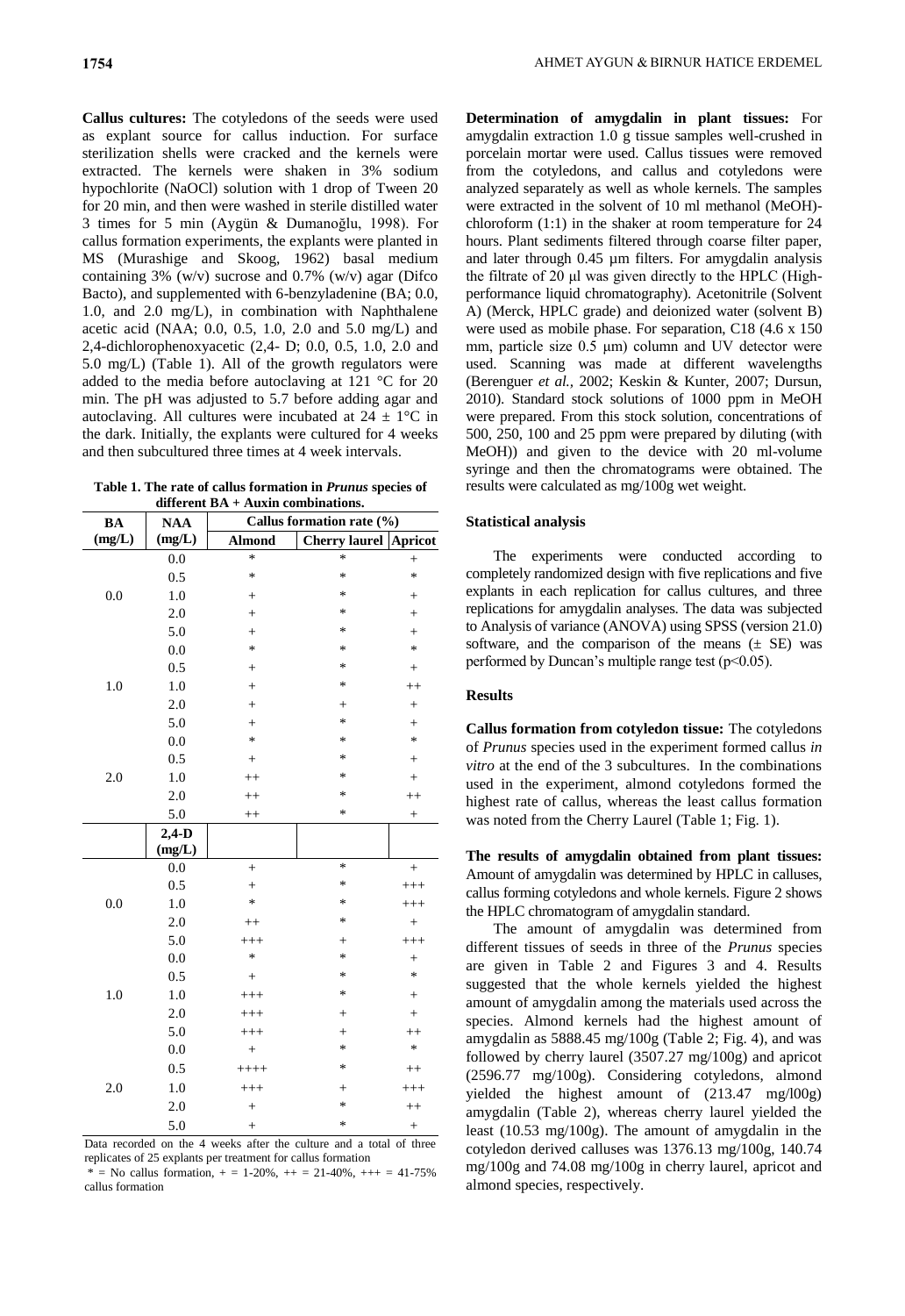**Callus cultures:** The cotyledons of the seeds were used as explant source for callus induction. For surface sterilization shells were cracked and the kernels were extracted. The kernels were shaken in 3% sodium hypochlorite (NaOCl) solution with 1 drop of Tween 20 for 20 min, and then were washed in sterile distilled water 3 times for 5 min (Aygün & Dumanoğlu, 1998). For callus formation experiments, the explants were planted in MS (Murashige and Skoog, 1962) basal medium containing  $3\%$  (w/v) sucrose and 0.7% (w/v) agar (Difco Bacto), and supplemented with 6-benzyladenine (BA; 0.0, 1.0, and 2.0 mg/L), in combination with Naphthalene acetic acid (NAA; 0.0, 0.5, 1.0, 2.0 and 5.0 mg/L) and 2,4-dichlorophenoxyacetic (2,4- D; 0.0, 0.5, 1.0, 2.0 and 5.0 mg/L) (Table 1). All of the growth regulators were added to the media before autoclaving at 121 °C for 20 min. The pH was adjusted to 5.7 before adding agar and autoclaving. All cultures were incubated at  $24 \pm 1$ °C in the dark. Initially, the explants were cultured for 4 weeks and then subcultured three times at 4 week intervals.

**Table 1. The rate of callus formation in** *Prunus* **species of different BA + Auxin combinations.**

| <b>BA</b> | <b>NAA</b> | Callus formation rate (%) |                      |                 |
|-----------|------------|---------------------------|----------------------|-----------------|
| (mg/L)    | (mg/L)     | <b>Almond</b>             | <b>Cherry laurel</b> | <b>Apricot</b>  |
| 0.0       | 0.0        | $\ast$                    | $\ast$               | $^{+}$          |
|           | 0.5        | *                         | *                    | $\ast$          |
|           | 1.0        | $^{+}$                    | *                    | $^+$            |
|           | 2.0        | $^{+}$                    | *                    | $^{+}$          |
|           | 5.0        | $^{+}$                    | *                    | $^{+}$          |
|           | 0.0        | *                         | *                    | $\ast$          |
| 1.0       | 0.5        | $^{+}$                    | *                    | $\! + \!\!\!\!$ |
|           | 1.0        | $^{+}$                    | *                    | $^{++}$         |
|           | 2.0        | $^{+}$                    | $^{+}$               | $^{+}$          |
|           | 5.0        | $^{+}$                    | *                    | $^{+}$          |
| 2.0       | 0.0        | $\ast$                    | $\ast$               | $\ast$          |
|           | 0.5        | $\! + \!\!\!\!$           | *                    | $^{+}$          |
|           | 1.0        | $^{++}$                   | $\ast$               | $^{+}$          |
|           | 2.0        | $^{++}$                   | *                    | $^{++}$         |
|           | 5.0        | $^{++}$                   | *                    | $\! + \!\!\!\!$ |
|           | $2,4-D$    |                           |                      |                 |
|           | (mg/L)     |                           |                      |                 |
| 0.0       | 0.0        | $^{+}$                    | $\ast$               | $^{+}$          |
|           | 0.5        | $^{+}$                    | *                    | $^{+++}$        |
|           | 1.0        | *                         | *                    | $^{+++}$        |
|           | 2.0        | $^{++}$                   | $\ast$               | $^{+}$          |
|           | 5.0        | $^{+++}$                  | $^{+}$               | $^{+++}$        |
| $1.0\,$   | 0.0        | $\ast$                    | *                    | $\! + \!\!\!\!$ |
|           | 0.5        | $\! + \!\!\!\!$           | ∗                    | $\ast$          |
|           | 1.0        | $^{+++}$                  | $\ast$               | $^{+}$          |
|           | 2.0        | $^{+++}$                  | $^{+}$               | $^{+}$          |
|           | 5.0        | $^{+++}$                  | $\! + \!\!\!\!$      | $^{++}$         |
| $2.0$     | $0.0\,$    | $^{+}$                    | $\ast$               | $\ast$          |
|           | 0.5        | $++++$                    | $\ast$               | $++$            |
|           | 1.0        | $^{+++}$                  | $^{+}$               | $^{+++}$        |
|           | 2.0        | $^{+}$                    | $\ast$               | $^{++}$         |
|           | 5.0        | $^{+}$                    | *                    | $\! + \!$       |

Data recorded on the 4 weeks after the culture and a total of three replicates of 25 explants per treatment for callus formation

 $*$  = No callus formation,  $+$  = 1-20%,  $++$  = 21-40%,  $++$  = 41-75% callus formation

**Determination of amygdalin in plant tissues:** For amygdalin extraction 1.0 g tissue samples well-crushed in porcelain mortar were used. Callus tissues were removed from the cotyledons, and callus and cotyledons were analyzed separately as well as whole kernels. The samples were extracted in the solvent of 10 ml methanol (MeOH) chloroform (1:1) in the shaker at room temperature for 24 hours. Plant sediments filtered through coarse filter paper, and later through 0.45 µm filters. For amygdalin analysis the filtrate of 20 μl was given directly to the HPLC (Highperformance liquid chromatography). Acetonitrile (Solvent A) (Merck, HPLC grade) and deionized water (solvent B) were used as mobile phase. For separation, C18 (4.6 x 150 mm, particle size 0.5 μm) column and UV detector were used. Scanning was made at different wavelengths (Berenguer *et al.,* 2002; Keskin & Kunter, 2007; Dursun, 2010). Standard stock solutions of 1000 ppm in MeOH were prepared. From this stock solution, concentrations of 500, 250, 100 and 25 ppm were prepared by diluting (with MeOH)) and given to the device with 20 ml-volume syringe and then the chromatograms were obtained. The results were calculated as mg/100g wet weight.

## **Statistical analysis**

The experiments were conducted according to completely randomized design with five replications and five explants in each replication for callus cultures, and three replications for amygdalin analyses. The data was subjected to Analysis of variance (ANOVA) using SPSS (version 21.0) software, and the comparison of the means  $(\pm$  SE) was performed by Duncan's multiple range test  $(p<0.05)$ .

# **Results**

**Callus formation from cotyledon tissue:** The cotyledons of *Prunus* species used in the experiment formed callus *in vitro* at the end of the 3 subcultures. In the combinations used in the experiment, almond cotyledons formed the highest rate of callus, whereas the least callus formation was noted from the Cherry Laurel (Table 1; Fig. 1).

**The results of amygdalin obtained from plant tissues:**  Amount of amygdalin was determined by HPLC in calluses, callus forming cotyledons and whole kernels. Figure 2 shows the HPLC chromatogram of amygdalin standard.

The amount of amygdalin was determined from different tissues of seeds in three of the *Prunus* species are given in Table 2 and Figures 3 and 4. Results suggested that the whole kernels yielded the highest amount of amygdalin among the materials used across the species. Almond kernels had the highest amount of amygdalin as  $5888.45$  mg/ $100g$  (Table 2; Fig. 4), and was followed by cherry laurel (3507.27 mg/100g) and apricot (2596.77 mg/100g). Considering cotyledons, almond yielded the highest amount of (213.47 mg/l00g) amygdalin (Table 2), whereas cherry laurel yielded the least (10.53 mg/100g). The amount of amygdalin in the cotyledon derived calluses was 1376.13 mg/100g, 140.74 mg/100g and 74.08 mg/100g in cherry laurel, apricot and almond species, respectively.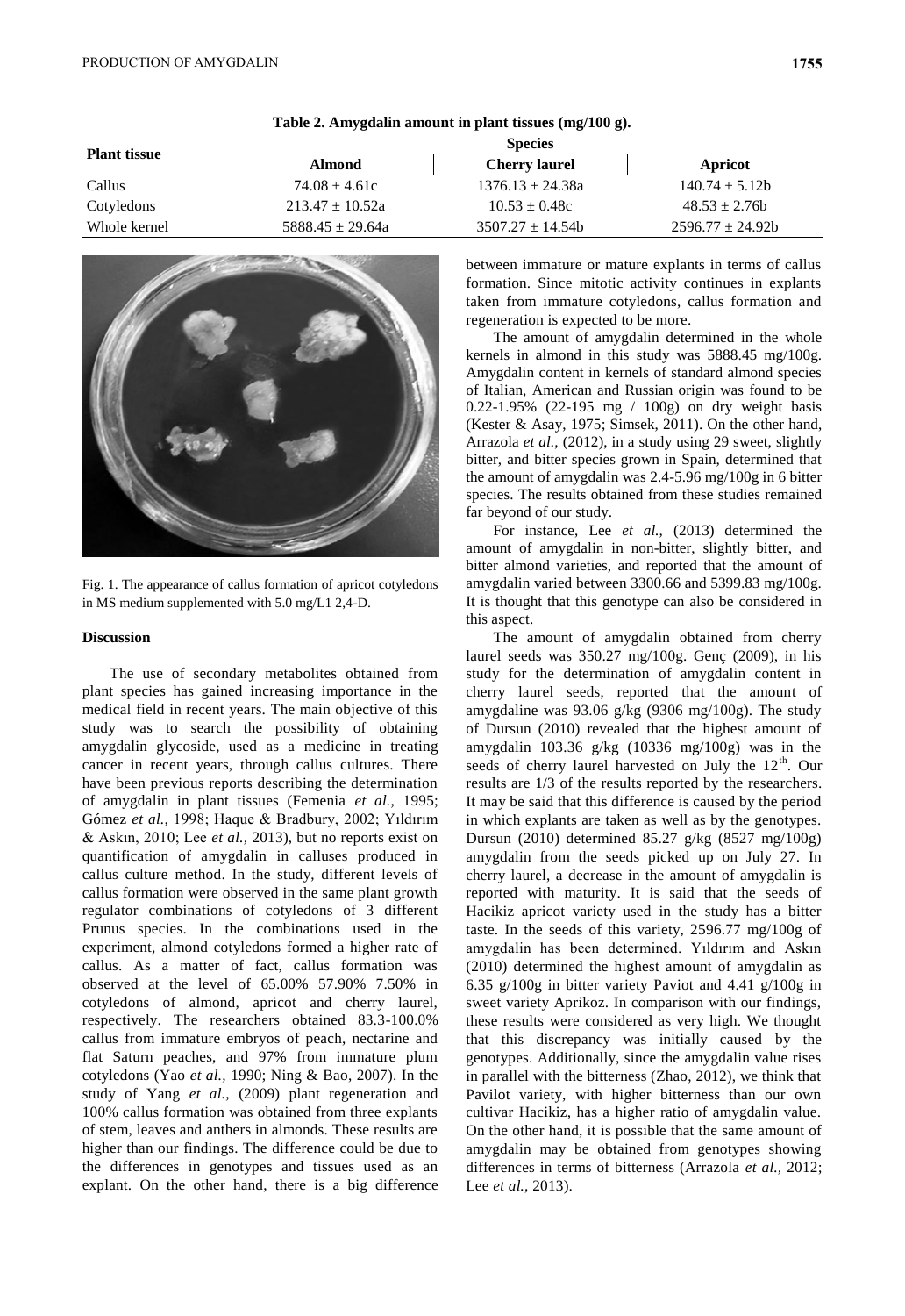| <b>Plant tissue</b> | <b>Species</b>       |                      |                    |  |  |
|---------------------|----------------------|----------------------|--------------------|--|--|
|                     | <b>Almond</b>        | <b>Cherry laurel</b> | Apricot            |  |  |
| Callus              | $74.08 \pm 4.61c$    | $1376.13 + 24.38a$   | $140.74 \pm 5.12b$ |  |  |
| Cotyledons          | $213.47 \pm 10.52a$  | $10.53 \pm 0.48c$    | $48.53 \pm 2.76$   |  |  |
| Whole kernel        | $5888.45 \pm 29.64a$ | $3507.27 + 14.54b$   | $2596.77 + 24.92b$ |  |  |

**Table 2. Amygdalin amount in plant tissues (mg/100 g).**



Fig. 1. The appearance of callus formation of apricot cotyledons in MS medium supplemented with 5.0 mg/L1 2,4-D.

#### **Discussion**

The use of secondary metabolites obtained from plant species has gained increasing importance in the medical field in recent years. The main objective of this study was to search the possibility of obtaining amygdalin glycoside, used as a medicine in treating cancer in recent years, through callus cultures. There have been previous reports describing the determination of amygdalin in plant tissues (Femenia *et al.,* 1995; Gómez *et al.,* 1998; Haque & Bradbury, 2002; Yıldırım & Askın, 2010; Lee *et al.,* 2013), but no reports exist on quantification of amygdalin in calluses produced in callus culture method. In the study, different levels of callus formation were observed in the same plant growth regulator combinations of cotyledons of 3 different Prunus species. In the combinations used in the experiment, almond cotyledons formed a higher rate of callus. As a matter of fact, callus formation was observed at the level of 65.00% 57.90% 7.50% in cotyledons of almond, apricot and cherry laurel, respectively. The researchers obtained 83.3-100.0% callus from immature embryos of peach, nectarine and flat Saturn peaches, and 97% from immature plum cotyledons (Yao *et al.,* 1990; Ning & Bao, 2007). In the study of Yang *et al.,* (2009) plant regeneration and 100% callus formation was obtained from three explants of stem, leaves and anthers in almonds. These results are higher than our findings. The difference could be due to the differences in genotypes and tissues used as an explant. On the other hand, there is a big difference between immature or mature explants in terms of callus formation. Since mitotic activity continues in explants taken from immature cotyledons, callus formation and regeneration is expected to be more.

The amount of amygdalin determined in the whole kernels in almond in this study was 5888.45 mg/100g. Amygdalin content in kernels of standard almond species of Italian, American and Russian origin was found to be 0.22-1.95% (22-195 mg / 100g) on dry weight basis (Kester & Asay, 1975; Simsek, 2011). On the other hand, Arrazola *et al.,* (2012), in a study using 29 sweet, slightly bitter, and bitter species grown in Spain, determined that the amount of amygdalin was 2.4-5.96 mg/100g in 6 bitter species. The results obtained from these studies remained far beyond of our study.

For instance, Lee *et al.,* (2013) determined the amount of amygdalin in non-bitter, slightly bitter, and bitter almond varieties, and reported that the amount of amygdalin varied between 3300.66 and 5399.83 mg/100g. It is thought that this genotype can also be considered in this aspect.

The amount of amygdalin obtained from cherry laurel seeds was 350.27 mg/100g. Genç (2009), in his study for the determination of amygdalin content in cherry laurel seeds, reported that the amount of amygdaline was 93.06 g/kg (9306 mg/100g). The study of Dursun (2010) revealed that the highest amount of amygdalin 103.36 g/kg (10336 mg/100g) was in the seeds of cherry laurel harvested on July the  $12<sup>th</sup>$ . Our results are 1/3 of the results reported by the researchers. It may be said that this difference is caused by the period in which explants are taken as well as by the genotypes. Dursun (2010) determined 85.27 g/kg (8527 mg/100g) amygdalin from the seeds picked up on July 27. In cherry laurel, a decrease in the amount of amygdalin is reported with maturity. It is said that the seeds of Hacikiz apricot variety used in the study has a bitter taste. In the seeds of this variety, 2596.77 mg/100g of amygdalin has been determined. Yıldırım and Askın (2010) determined the highest amount of amygdalin as 6.35 g/100g in bitter variety Paviot and 4.41 g/100g in sweet variety Aprikoz. In comparison with our findings, these results were considered as very high. We thought that this discrepancy was initially caused by the genotypes. Additionally, since the amygdalin value rises in parallel with the bitterness (Zhao, 2012), we think that Pavilot variety, with higher bitterness than our own cultivar Hacikiz, has a higher ratio of amygdalin value. On the other hand, it is possible that the same amount of amygdalin may be obtained from genotypes showing differences in terms of bitterness (Arrazola *et al.,* 2012; Lee *et al.,* 2013).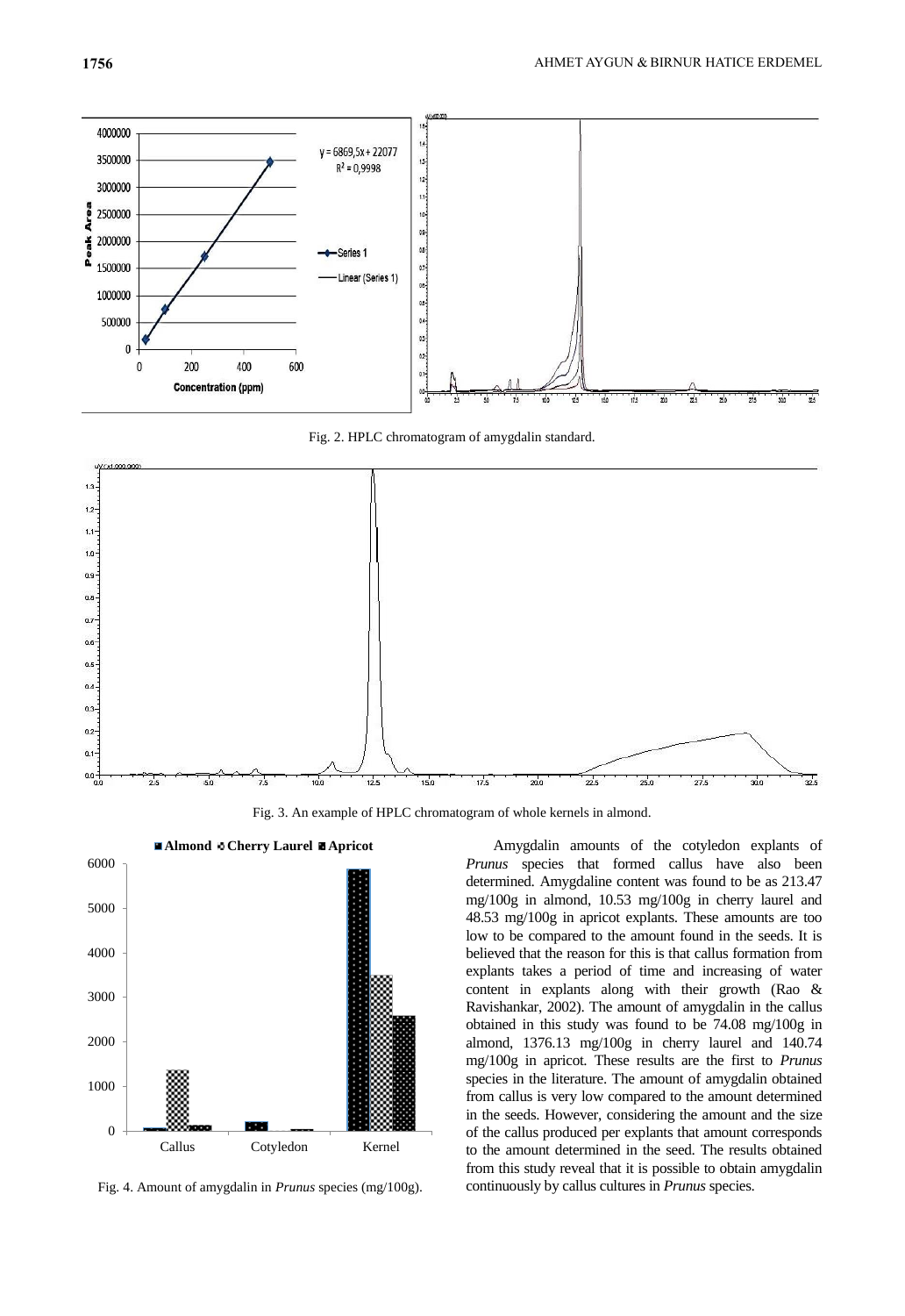

Fig. 2. HPLC chromatogram of amygdalin standard.



Fig. 3. An example of HPLC chromatogram of whole kernels in almond.



Fig. 4. Amount of amygdalin in *Prunus* species (mg/100g).

Amygdalin amounts of the cotyledon explants of *Prunus* species that formed callus have also been determined. Amygdaline content was found to be as 213.47 mg/100g in almond, 10.53 mg/100g in cherry laurel and 48.53 mg/100g in apricot explants. These amounts are too low to be compared to the amount found in the seeds. It is believed that the reason for this is that callus formation from explants takes a period of time and increasing of water content in explants along with their growth (Rao & Ravishankar, 2002). The amount of amygdalin in the callus obtained in this study was found to be 74.08 mg/100g in almond, 1376.13 mg/100g in cherry laurel and 140.74 mg/100g in apricot. These results are the first to *Prunus* species in the literature. The amount of amygdalin obtained from callus is very low compared to the amount determined in the seeds. However, considering the amount and the size of the callus produced per explants that amount corresponds to the amount determined in the seed. The results obtained from this study reveal that it is possible to obtain amygdalin continuously by callus cultures in *Prunus* species.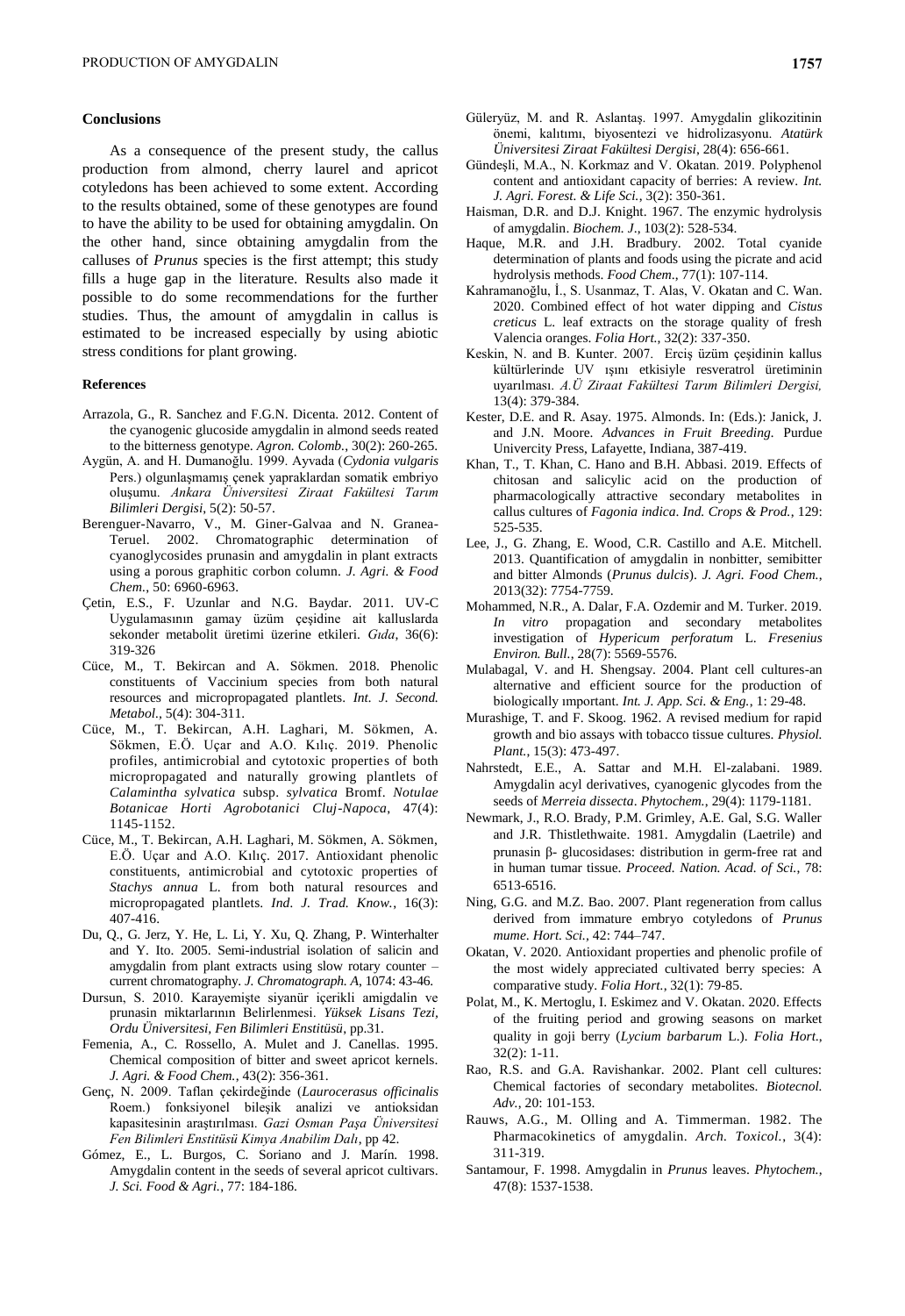# **Conclusions**

As a consequence of the present study, the callus production from almond, cherry laurel and apricot cotyledons has been achieved to some extent. According to the results obtained, some of these genotypes are found to have the ability to be used for obtaining amygdalin. On the other hand, since obtaining amygdalin from the calluses of *Prunus* species is the first attempt; this study fills a huge gap in the literature. Results also made it possible to do some recommendations for the further studies. Thus, the amount of amygdalin in callus is estimated to be increased especially by using abiotic stress conditions for plant growing.

#### **References**

- Arrazola, G., R. Sanchez and F.G.N. Dicenta. 2012. Content of the cyanogenic glucoside amygdalin in almond seeds reated to the bitterness genotype. *Agron. Colomb.*, 30(2): 260-265.
- Aygün, A. and H. Dumanoğlu. 1999. Ayvada (*Cydonia vulgaris* Pers.) olgunlaşmamış çenek yapraklardan somatik embriyo oluşumu. *Ankara Üniversitesi Ziraat Fakültesi Tarım Bilimleri Dergisi*, 5(2): 50-57.
- Berenguer-Navarro, V., M. Giner-Galvaa and N. Granea-Teruel. 2002. Chromatographic determination of cyanoglycosides prunasin and amygdalin in plant extracts using a porous graphitic corbon column. *J. Agri. & Food Chem.*, 50: 6960-6963.
- Çetin, E.S., F. Uzunlar and N.G. Baydar. 2011. UV-C Uygulamasının gamay üzüm çeşidine ait kalluslarda sekonder metabolit üretimi üzerine etkileri. *Gıda*, 36(6): 319-326
- Cüce, M., T. Bekircan and A. Sökmen. 2018. Phenolic constituents of Vaccinium species from both natural resources and micropropagated plantlets. *Int. J. Second. Metabol.,* 5(4): 304-311.
- Cüce, M., T. Bekircan, A.H. Laghari, M. Sökmen, A. Sökmen, E.Ö. Uçar and A.O. Kılıç. 2019. Phenolic profiles, antimicrobial and cytotoxic properties of both micropropagated and naturally growing plantlets of *Calamintha sylvatica* subsp. *sylvatica* Bromf. *Notulae Botanicae Horti Agrobotanici Cluj-Napoca*, 47(4): 1145-1152.
- Cüce, M., T. Bekircan, A.H. Laghari, M. Sökmen, A. Sökmen, E.Ö. Uçar and A.O. Kılıç. 2017. Antioxidant phenolic constituents, antimicrobial and cytotoxic properties of *Stachys annua* L. from both natural resources and micropropagated plantlets. *Ind. J. Trad. Know.*, 16(3): 407-416.
- Du, Q., G. Jerz, Y. He, L. Li, Y. Xu, Q. Zhang, P. Winterhalter and Y. Ito. 2005. Semi-industrial isolation of salicin and amygdalin from plant extracts using slow rotary counter – current chromatography. *J. Chromatograph. A*, 1074: 43-46.
- Dursun, S. 2010. Karayemişte siyanür içerikli amigdalin ve prunasin miktarlarının Belirlenmesi. *Yüksek Lisans Tezi, Ordu Üniversitesi, Fen Bilimleri Enstitüsü*, pp.31.
- Femenia, A., C. Rossello, A. Mulet and J. Canellas. 1995. Chemical composition of bitter and sweet apricot kernels. *J. Agri. & Food Chem.*, 43(2): 356-361.
- Genç, N. 2009. Taflan çekirdeğinde (*Laurocerasus officinalis*  Roem.) fonksiyonel bileşik analizi ve antioksidan kapasitesinin araştırılması. *Gazi Osman Paşa Üniversitesi Fen Bilimleri Enstitüsü Kimya Anabilim Dalı*, pp 42.
- Gómez, E., L. Burgos, C. Soriano and J. Marín. 1998. Amygdalin content in the seeds of several apricot cultivars. *J. Sci. Food & Agri.*, 77: 184-186.
- Güleryüz, M. and R. Aslantaş. 1997. Amygdalin glikozitinin önemi, kalıtımı, biyosentezi ve hidrolizasyonu. *Atatürk Üniversitesi Ziraat Fakültesi Dergisi*, 28(4): 656-661.
- Gündeşli, M.A., N. Korkmaz and V. Okatan. 2019. Polyphenol content and antioxidant capacity of berries: A review. *Int. J. Agri. Forest. & Life Sci.*, 3(2): 350-361.
- Haisman, D.R. and D.J. Knight. 1967. The enzymic hydrolysis of amygdalin. *Biochem. J*., 103(2): 528-534.
- Haque, M.R. and J.H. Bradbury. 2002. Total cyanide determination of plants and foods using the picrate and acid hydrolysis methods. *Food Chem*., 77(1): 107-114.
- Kahramanoğlu, İ., S. Usanmaz, T. Alas, V. Okatan and C. Wan. 2020. Combined effect of hot water dipping and *Cistus creticus* L. leaf extracts on the storage quality of fresh Valencia oranges. *Folia Hort.*, 32(2): 337-350.
- Keskin, N. and B. Kunter. 2007. Erciş üzüm çeşidinin kallus kültürlerinde UV ışını etkisiyle resveratrol üretiminin uyarılması. *A.Ü Ziraat Fakültesi Tarım Bilimleri Dergisi,* 13(4): 379-384.
- Kester, D.E. and R. Asay. 1975. Almonds. In: (Eds.): Janick, J. and J.N. Moore. *Advances in Fruit Breeding.* Purdue Univercity Press, Lafayette, Indiana, 387-419.
- Khan, T., T. Khan, C. Hano and B.H. Abbasi. 2019. Effects of chitosan and salicylic acid on the production of pharmacologically attractive secondary metabolites in callus cultures of *Fagonia indica*. *Ind. Crops & Prod.*, 129: 525-535.
- Lee, J., G. Zhang, E. Wood, C.R. Castillo and A.E. Mitchell. 2013. Quantification of amygdalin in nonbitter, semibitter and bitter Almonds (*Prunus dulcis*). *J. Agri. Food Chem.*, 2013(32): 7754-7759.
- Mohammed, N.R., A. Dalar, F.A. Ozdemir and M. Turker. 2019. *In vitro* propagation and secondary metabolites investigation of *Hypericum perforatum* L. *Fresenius Environ. Bull.*, 28(7): 5569-5576.
- Mulabagal, V. and H. Shengsay. 2004. Plant cell cultures-an alternative and efficient source for the production of biologically ımportant. *Int. J. App. Sci. & Eng.*, 1: 29-48.
- Murashige, T. and F. Skoog. 1962. A revised medium for rapid growth and bio assays with tobacco tissue cultures. *Physiol. Plant.*, 15(3): 473-497.
- Nahrstedt, E.E., A. Sattar and M.H. El-zalabani. 1989. Amygdalin acyl derivatives, cyanogenic glycodes from the seeds of *Merreia dissecta*. *Phytochem.*, 29(4): 1179-1181.
- Newmark, J., R.O. Brady, P.M. Grimley, A.E. Gal, S.G. Waller and J.R. Thistlethwaite. 1981. Amygdalin (Laetrile) and prunasin β- glucosidases: distribution in germ-free rat and in human tumar tissue. *Proceed. Nation. Acad. of Sci.*, 78: 6513-6516.
- Ning, G.G. and M.Z. Bao. 2007. Plant regeneration from callus derived from immature embryo cotyledons of *Prunus mume*. *Hort. Sci.,* 42: 744–747.
- Okatan, V. 2020. Antioxidant properties and phenolic profile of the most widely appreciated cultivated berry species: A comparative study. *Folia Hort.*, 32(1): 79-85.
- Polat, M., K. Mertoglu, I. Eskimez and V. Okatan. 2020. Effects of the fruiting period and growing seasons on market quality in goji berry (*Lycium barbarum* L.). *Folia Hort*., 32(2): 1-11.
- Rao, R.S. and G.A. Ravishankar. 2002. Plant cell cultures: Chemical factories of secondary metabolites. *Biotecnol. Adv.*, 20: 101-153.
- Rauws, A.G., M. Olling and A. Timmerman. 1982. The Pharmacokinetics of amygdalin. *Arch. Toxicol.*, 3(4): 311-319.
- Santamour, F. 1998. Amygdalin in *Prunus* leaves. *Phytochem.*, 47(8): 1537-1538.